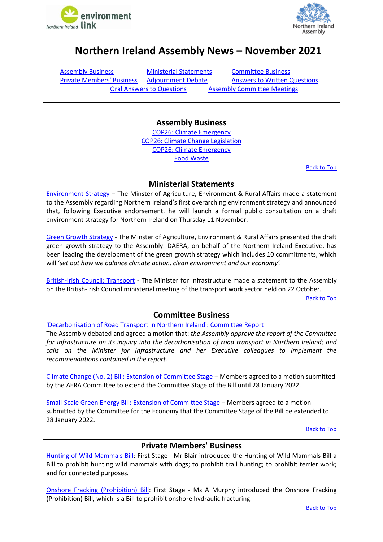



# <span id="page-0-4"></span>**Northern Ireland Assembly News – November 2021**

[Assembly Business](#page-0-0) [Ministerial Statements](#page-0-1) [Committee Business](#page-0-2)

<span id="page-0-0"></span>**[Private Members' Business](#page-0-3)** [Adjournment Debate](#page-1-0) [Answers to Written Questions](#page-1-1) [Oral Answers to Questions](#page-1-2) [Assembly Committee Meetings](#page-2-0)

# **Assembly Business**

[COP26: Climate Emergency](http://aims.niassembly.gov.uk/officialreport/report.aspx?&eveDate=2021/11/01&docID=354734#3711054) [COP26: Climate Change Legislation](http://aims.niassembly.gov.uk/officialreport/report.aspx?&eveDate=2021/11/01&docID=354734#3711089) [COP26: Climate Emergency](http://aims.niassembly.gov.uk/officialreport/report.aspx?&eveDate=2021/11/01&docID=354734#3711094) [Food Waste](http://aims.niassembly.gov.uk/officialreport/report.aspx?&eveDate=2021/11/22&docID=358050#3751056)

[Back to Top](#page-0-4)

### **Ministerial Statements**

<span id="page-0-1"></span>[Environment Strategy](http://aims.niassembly.gov.uk/officialreport/report.aspx?&eveDate=2021/11/09&docID=356095) – The Minster of Agriculture, Environment & Rural Affairs made a statement to the Assembly regarding Northern Ireland's first overarching environment strategy and announced that, following Executive endorsement, he will launch a formal public consultation on a draft environment strategy for Northern Ireland on Thursday 11 November.

[Green Growth Strategy](http://aims.niassembly.gov.uk/officialreport/report.aspx?&eveDate=2021/11/09&docID=356095#3731193) - The Minster of Agriculture, Environment & Rural Affairs presented the draft green growth strategy to the Assembly. DAERA, on behalf of the Northern Ireland Executive, has been leading the development of the green growth strategy which includes 10 commitments, which will '*set out how we balance climate action, clean environment and our economy'.*

[British-Irish Council: Transport](http://aims.niassembly.gov.uk/officialreport/report.aspx?&eveDate=2021/11/15&docID=356898#3740324) - The Minister for Infrastructure made a statement to the Assembly on the British-Irish Council ministerial meeting of the transport work sector held on 22 October.

[Back to Top](#page-0-4)

# **Committee Business**

<span id="page-0-2"></span>['Decarbonisation of Road Transport in Northern Ireland': Committee Report](http://aims.niassembly.gov.uk/officialreport/report.aspx?&eveDate=2021/11/29&docID=359050#3766835)

The Assembly debated and agreed a motion that: *the Assembly approve the report of the Committee for Infrastructure on its inquiry into the decarbonisation of road transport in Northern Ireland; and calls on the Minister for Infrastructure and her Executive colleagues to implement the recommendations contained in the report.*

[Climate Change \(No. 2\) Bill: Extension of Committee Stage](http://aims.niassembly.gov.uk/officialreport/report.aspx?&eveDate=2021-11-01&docID=354734#3711632) – Members agreed to a motion submitted by the AERA Committee to extend the Committee Stage of the Bill until 28 January 2022.

[Small-Scale Green Energy Bill: Extension of Committee Stage](http://aims.niassembly.gov.uk/officialreport/report.aspx?&eveDate=2021-11-01&docID=354734#3711662) – Members agreed to a motion submitted by the Committee for the Economy that the Committee Stage of the Bill be extended to 28 January 2022.

[Back to Top](#page-0-4)

# **Private Members' Business**

<span id="page-0-3"></span>[Hunting of Wild Mammals Bill:](http://aims.niassembly.gov.uk/officialreport/report.aspx?&eveDate=2021/11/09&docID=356095#3731632) First Stage - Mr Blair introduced the Hunting of Wild Mammals Bill a Bill to prohibit hunting wild mammals with dogs; to prohibit trail hunting; to prohibit terrier work; and for connected purposes.

[Onshore Fracking \(Prohibition\) Bill:](http://aims.niassembly.gov.uk/officialreport/report.aspx?&eveDate=2021-11-29&docID=359050#3767311) First Stage - Ms A Murphy introduced the Onshore Fracking (Prohibition) Bill, which is a Bill to prohibit onshore hydraulic fracturing.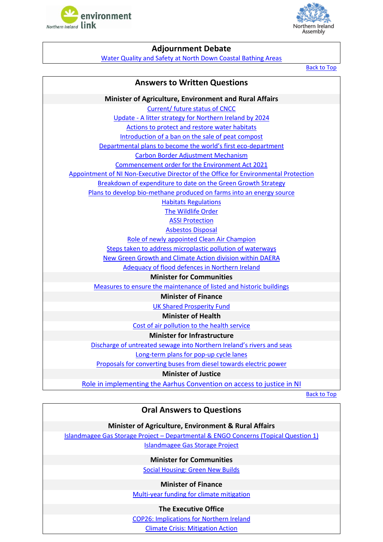<span id="page-1-0"></span>



## **Adjournment Debate**

[Water Quality and Safety at North Down Coastal Bathing Areas](http://aims.niassembly.gov.uk/officialreport/report.aspx?&eveDate=2021/11/02&docID=354735#3718105)

[Back to Top](#page-0-4)

### **Answers to Written Questions**

<span id="page-1-1"></span>**Minister of Agriculture, Environment and Rural Affairs** [Current/ future status of CNCC](http://aims.niassembly.gov.uk/questions/printquestionsummary.aspx?docid=357110) Update - A [litter strategy for Northern Ireland by 2024](http://aims.niassembly.gov.uk/questions/printquestionsummary.aspx?docid=357270) [Actions to protect and restore water habitats](http://aims.niassembly.gov.uk/questions/printquestionsummary.aspx?docid=355981) [Introduction of a ban on the sale of peat compost](http://aims.niassembly.gov.uk/questions/printquestionsummary.aspx?docid=356380) Departmental [plans to become the world's first eco](http://aims.niassembly.gov.uk/questions/printquestionsummary.aspx?docid=356871)-department [Carbon Border Adjustment Mechanism](http://aims.niassembly.gov.uk/questions/printquestionsummary.aspx?docid=357061) [Commencement order for the Environment Act 2021](http://aims.niassembly.gov.uk/questions/printquestionsummary.aspx?docid=357117) Appointment of NI Non-Executive Director of the [Office for Environmental Protection](http://aims.niassembly.gov.uk/questions/printquestionsummary.aspx?docid=357272) [Breakdown of expenditure to date on the Green Growth Strategy](http://aims.niassembly.gov.uk/questions/printquestionsummary.aspx?docid=355783) [Plans to develop bio-methane produced on farms into an energy source](http://aims.niassembly.gov.uk/questions/printquestionsummary.aspx?docid=355279) [Habitats Regulations](http://aims.niassembly.gov.uk/questions/printquestionsummary.aspx?docid=355075) [The Wildlife Order](http://aims.niassembly.gov.uk/questions/printquestionsummary.aspx?docid=355074) [ASSI Protection](http://aims.niassembly.gov.uk/questions/printquestionsummary.aspx?docid=355073) [Asbestos](http://aims.niassembly.gov.uk/questions/printquestionsummary.aspx?docid=354402) Disposal [Role of newly appointed Clean Air Champion](http://aims.niassembly.gov.uk/questions/printquestionsummary.aspx?docid=356761) [Steps taken to address microplastic pollution of waterways](http://aims.niassembly.gov.uk/questions/printquestionsummary.aspx?docid=356199) [New Green Growth and Climate Action division within DAERA](http://aims.niassembly.gov.uk/questions/printquestionsummary.aspx?docid=355978) [Adequacy of flood defences in Northern Ireland](http://aims.niassembly.gov.uk/questions/printquestionsummary.aspx?docid=355784) **Minister for Communities** [Measures to ensure the maintenance of listed and historic buildings](http://aims.niassembly.gov.uk/questions/printquestionsummary.aspx?docid=354377) **Minister of Finance** [UK Shared Prosperity Fund](http://aims.niassembly.gov.uk/questions/printquestionsummary.aspx?docid=357965) **Minister of Health** [Cost of air pollution to the health service](http://aims.niassembly.gov.uk/questions/printquestionsummary.aspx?docid=358789) **Minister for Infrastructure** Discharge of [untreated sewage into Northern Ireland's ri](http://aims.niassembly.gov.uk/questions/printquestionsummary.aspx?docid=356708)vers and seas [Long-term plans for pop-up](http://aims.niassembly.gov.uk/questions/printquestionsummary.aspx?docid=356032) cycle lanes

[Proposals for converting buses from diesel towards electric power](http://aims.niassembly.gov.uk/questions/printquestionsummary.aspx?docid=356174)

#### **Minister of Justice**

[Role in implementing the Aarhus Convention on access to justice in NI](http://aims.niassembly.gov.uk/questions/printquestionsummary.aspx?docid=356205)

[Back to Top](#page-0-4)

### **Oral Answers to Questions**

### **Minister of Agriculture, Environment & Rural Affairs**

<span id="page-1-2"></span>Islandmagee Gas Storage Project – [Departmental & ENGO Concerns \(Topical Question](http://aims.niassembly.gov.uk/officialreport/report.aspx?&eveDate=2021-11-29&docID=359050#3767056) 1) [Islandmagee Gas Storage Project](http://aims.niassembly.gov.uk/officialreport/report.aspx?&eveDate=2021-11-08&docID=356094#AQO%202680/17-22)

**Minister for Communities**

[Social Housing: Green New Builds](http://aims.niassembly.gov.uk/officialreport/report.aspx?&eveDate=2021-11-01&docID=354734#AQO%202625/17-22)

#### **Minister of Finance**

[Multi-year funding for climate mitigation](http://aims.niassembly.gov.uk/officialreport/report.aspx?&eveDate=2021-11-16&docID=356899#AQO%202742/17-22)

#### **The Executive Office**

[COP26: Implications for Northern Ireland](http://aims.niassembly.gov.uk/officialreport/report.aspx?&eveDate=2021-11-29&docID=359050#AQO%202799/17-22) [Climate Crisis: Mitigation Action](http://aims.niassembly.gov.uk/officialreport/report.aspx?&eveDate=2021-11-15&docID=356898#AQO%202714/17-22)